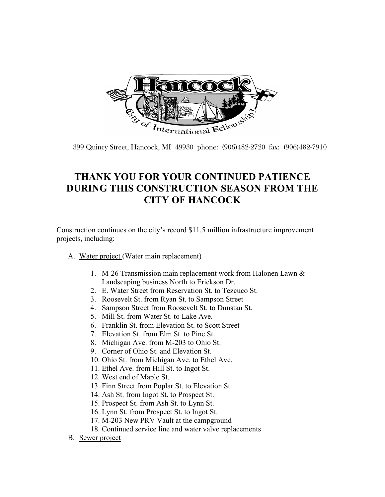

399 Quincy Street, Hancock, MI 49930 phone: (906)482-2720 fax: (906)482-7910

## **THANK YOU FOR YOUR CONTINUED PATIENCE DURING THIS CONSTRUCTION SEASON FROM THE CITY OF HANCOCK**

Construction continues on the city's record \$11.5 million infrastructure improvement projects, including:

- A. Water project (Water main replacement)
	- 1. M-26 Transmission main replacement work from Halonen Lawn & Landscaping business North to Erickson Dr.
	- 2. E. Water Street from Reservation St. to Tezcuco St.
	- 3. Roosevelt St. from Ryan St. to Sampson Street
	- 4. Sampson Street from Roosevelt St. to Dunstan St.
	- 5. Mill St. from Water St. to Lake Ave.
	- 6. Franklin St. from Elevation St. to Scott Street
	- 7. Elevation St. from Elm St. to Pine St.
	- 8. Michigan Ave. from M-203 to Ohio St.
	- 9. Corner of Ohio St. and Elevation St.
	- 10. Ohio St. from Michigan Ave. to Ethel Ave.
	- 11. Ethel Ave. from Hill St. to Ingot St.
	- 12. West end of Maple St.
	- 13. Finn Street from Poplar St. to Elevation St.
	- 14. Ash St. from Ingot St. to Prospect St.
	- 15. Prospect St. from Ash St. to Lynn St.
	- 16. Lynn St. from Prospect St. to Ingot St.
	- 17. M-203 New PRV Vault at the campground
	- 18. Continued service line and water valve replacements
- B. Sewer project